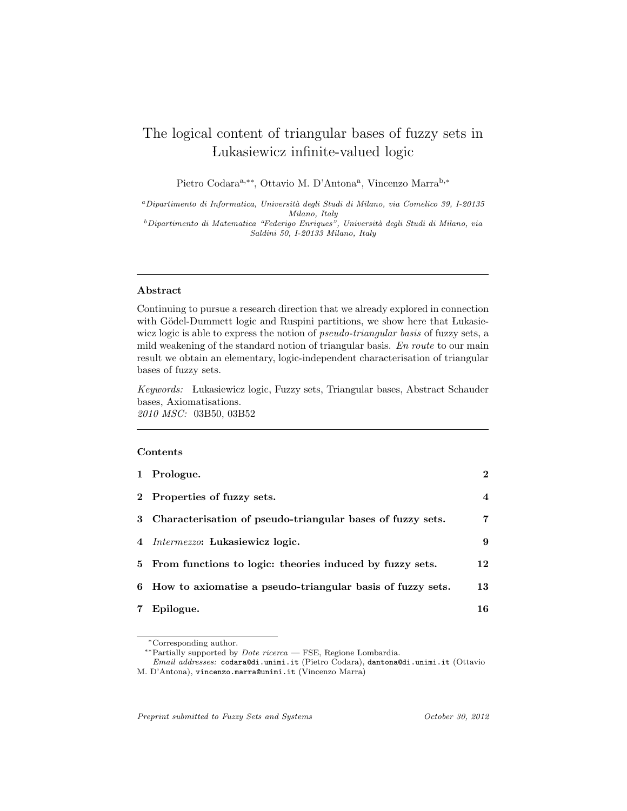# The logical content of triangular bases of fuzzy sets in Lukasiewicz infinite-valued logic

Pietro Codara<sup>a,∗∗</sup>, Ottavio M. D'Antona<sup>a</sup>, Vincenzo Marra<sup>b,∗</sup>

<sup>a</sup>Dipartimento di Informatica, Università degli Studi di Milano, via Comelico 39, I-20135 Milano, Italy

 $^b$ Dipartimento di Matematica "Federigo Enriques", Università degli Studi di Milano, via Saldini 50, I-20133 Milano, Italy

## Abstract

Continuing to pursue a research direction that we already explored in connection with Gödel-Dummett logic and Ruspini partitions, we show here that Lukasiewicz logic is able to express the notion of *pseudo-triangular basis* of fuzzy sets, a mild weakening of the standard notion of triangular basis. En route to our main result we obtain an elementary, logic-independent characterisation of triangular bases of fuzzy sets.

Keywords: Lukasiewicz logic, Fuzzy sets, Triangular bases, Abstract Schauder bases, Axiomatisations. 2010 MSC: 03B50, 03B52

## Contents

|   | 1 Prologue.                                                  | $\mathbf{2}$ |
|---|--------------------------------------------------------------|--------------|
|   | 2 Properties of fuzzy sets.                                  | 4            |
|   | 3 Characterisation of pseudo-triangular bases of fuzzy sets. | 7            |
|   | 4 Intermezzo: Lukasiewicz logic.                             | 9            |
|   | 5 From functions to logic: theories induced by fuzzy sets.   | 12           |
|   | 6 How to axiomatise a pseudo-triangular basis of fuzzy sets. | 13           |
| 7 | Epilogue.                                                    | 16           |

∗∗Partially supported by Dote ricerca — FSE, Regione Lombardia.

Email addresses: codara@di.unimi.it (Pietro Codara), dantona@di.unimi.it (Ottavio M. D'Antona), vincenzo.marra@unimi.it (Vincenzo Marra)

Preprint submitted to Fuzzy Sets and Systems  $October\ 30, \ 2012$ 

<sup>∗</sup>Corresponding author.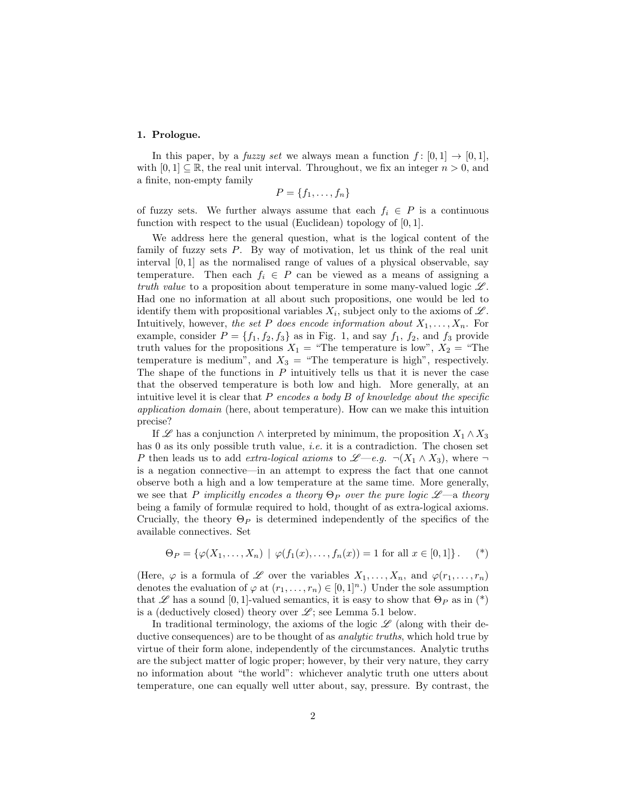### 1. Prologue.

In this paper, by a *fuzzy set* we always mean a function  $f : [0, 1] \rightarrow [0, 1]$ , with  $[0, 1] \subseteq \mathbb{R}$ , the real unit interval. Throughout, we fix an integer  $n > 0$ , and a finite, non-empty family

$$
P = \{f_1, \ldots, f_n\}
$$

of fuzzy sets. We further always assume that each  $f_i \in P$  is a continuous function with respect to the usual (Euclidean) topology of [0, 1].

We address here the general question, what is the logical content of the family of fuzzy sets P. By way of motivation, let us think of the real unit interval  $[0, 1]$  as the normalised range of values of a physical observable, say temperature. Then each  $f_i \in P$  can be viewed as a means of assigning a truth value to a proposition about temperature in some many-valued logic  $\mathscr{L}$ . Had one no information at all about such propositions, one would be led to identify them with propositional variables  $X_i$ , subject only to the axioms of  $\mathscr{L}$ . Intuitively, however, the set P does encode information about  $X_1, \ldots, X_n$ . For example, consider  $P = \{f_1, f_2, f_3\}$  as in Fig. 1, and say  $f_1, f_2$ , and  $f_3$  provide truth values for the propositions  $X_1$  = "The temperature is low",  $X_2$  = "The temperature is medium", and  $X_3 =$  "The temperature is high", respectively. The shape of the functions in  $P$  intuitively tells us that it is never the case that the observed temperature is both low and high. More generally, at an intuitive level it is clear that  $P$  encodes a body  $B$  of knowledge about the specific application domain (here, about temperature). How can we make this intuition precise?

If L' has a conjunction  $\wedge$  interpreted by minimum, the proposition  $X_1 \wedge X_3$ has 0 as its only possible truth value, *i.e.* it is a contradiction. The chosen set P then leads us to add *extra-logical axioms* to  $\mathscr{L}-e.g. \neg(X_1 \wedge X_3)$ , where  $\neg$ is a negation connective—in an attempt to express the fact that one cannot observe both a high and a low temperature at the same time. More generally, we see that P implicitly encodes a theory  $\Theta_P$  over the pure logic  $\mathscr{L}$ —a theory being a family of formulæ required to hold, thought of as extra-logical axioms. Crucially, the theory  $\Theta_P$  is determined independently of the specifics of the available connectives. Set

$$
\Theta_P = \{ \varphi(X_1, \dots, X_n) \mid \varphi(f_1(x), \dots, f_n(x)) = 1 \text{ for all } x \in [0, 1] \}.
$$
 (\*)

(Here,  $\varphi$  is a formula of  $\mathscr L$  over the variables  $X_1, \ldots, X_n$ , and  $\varphi(r_1, \ldots, r_n)$ denotes the evaluation of  $\varphi$  at  $(r_1, \ldots, r_n) \in [0, 1]^n$ .) Under the sole assumption that L has a sound [0, 1]-valued semantics, it is easy to show that  $\Theta_P$  as in (\*) is a (deductively closed) theory over  $\mathscr{L}$ ; see Lemma 5.1 below.

In traditional terminology, the axioms of the logic  $\mathscr L$  (along with their deductive consequences) are to be thought of as *analytic truths*, which hold true by virtue of their form alone, independently of the circumstances. Analytic truths are the subject matter of logic proper; however, by their very nature, they carry no information about "the world": whichever analytic truth one utters about temperature, one can equally well utter about, say, pressure. By contrast, the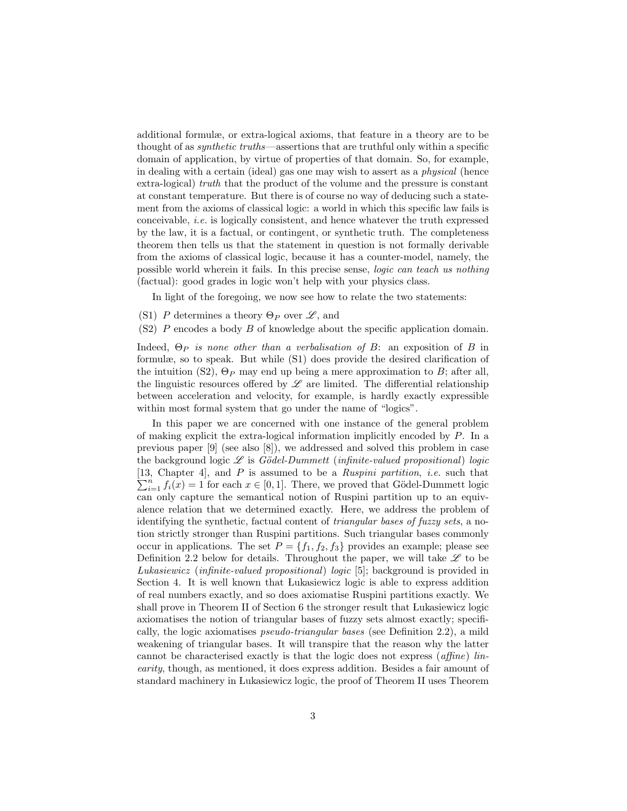additional formulæ, or extra-logical axioms, that feature in a theory are to be thought of as synthetic truths—assertions that are truthful only within a specific domain of application, by virtue of properties of that domain. So, for example, in dealing with a certain (ideal) gas one may wish to assert as a physical (hence extra-logical) truth that the product of the volume and the pressure is constant at constant temperature. But there is of course no way of deducing such a statement from the axioms of classical logic: a world in which this specific law fails is conceivable, i.e. is logically consistent, and hence whatever the truth expressed by the law, it is a factual, or contingent, or synthetic truth. The completeness theorem then tells us that the statement in question is not formally derivable from the axioms of classical logic, because it has a counter-model, namely, the possible world wherein it fails. In this precise sense, logic can teach us nothing (factual): good grades in logic won't help with your physics class.

In light of the foregoing, we now see how to relate the two statements:

- (S1) P determines a theory  $\Theta_P$  over  $\mathscr{L}$ , and
- (S2) P encodes a body B of knowledge about the specific application domain.

Indeed,  $\Theta_P$  is none other than a verbalisation of B: an exposition of B in formulæ, so to speak. But while (S1) does provide the desired clarification of the intuition (S2),  $\Theta_P$  may end up being a mere approximation to B; after all, the linguistic resources offered by  $\mathscr L$  are limited. The differential relationship between acceleration and velocity, for example, is hardly exactly expressible within most formal system that go under the name of "logics".

In this paper we are concerned with one instance of the general problem of making explicit the extra-logical information implicitly encoded by P. In a previous paper [9] (see also [8]), we addressed and solved this problem in case the background logic  $\mathscr L$  is Gödel-Dummett (infinite-valued propositional) logic [13, Chapter 4], and P is assumed to be a Ruspini partition, i.e. such that  $\sum_{i=1}^{n} f_i(x) = 1$  for each  $x \in [0, 1]$ . There, we proved that Gödel-Dummett logic can only capture the semantical notion of Ruspini partition up to an equivalence relation that we determined exactly. Here, we address the problem of identifying the synthetic, factual content of triangular bases of fuzzy sets, a notion strictly stronger than Ruspini partitions. Such triangular bases commonly occur in applications. The set  $P = \{f_1, f_2, f_3\}$  provides an example; please see Definition 2.2 below for details. Throughout the paper, we will take  $\mathscr L$  to be Lukasiewicz (infinite-valued propositional) logic [5]; background is provided in Section 4. It is well known that Lukasiewicz logic is able to express addition of real numbers exactly, and so does axiomatise Ruspini partitions exactly. We shall prove in Theorem II of Section 6 the stronger result that Lukasiewicz logic axiomatises the notion of triangular bases of fuzzy sets almost exactly; specifically, the logic axiomatises pseudo-triangular bases (see Definition 2.2), a mild weakening of triangular bases. It will transpire that the reason why the latter cannot be characterised exactly is that the logic does not express (affine) linearity, though, as mentioned, it does express addition. Besides a fair amount of standard machinery in Lukasiewicz logic, the proof of Theorem II uses Theorem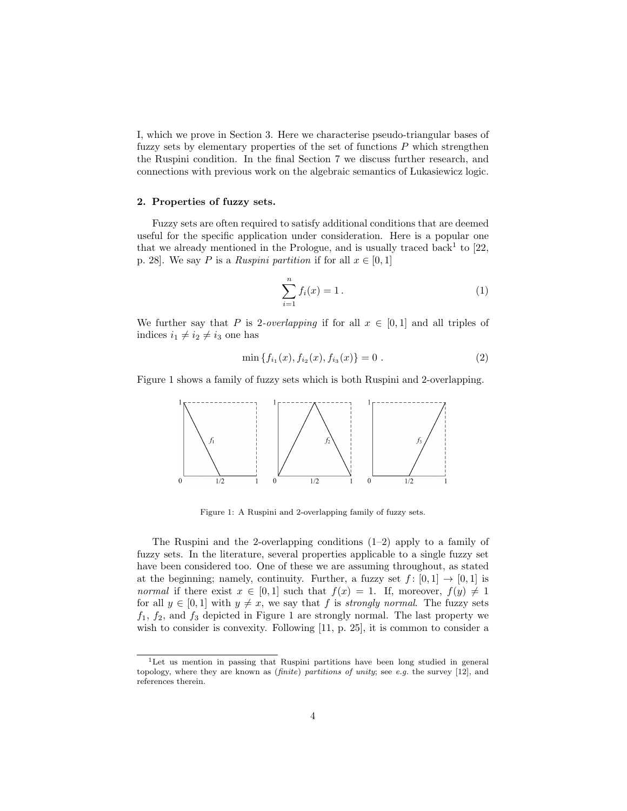I, which we prove in Section 3. Here we characterise pseudo-triangular bases of fuzzy sets by elementary properties of the set of functions  $P$  which strengthen the Ruspini condition. In the final Section 7 we discuss further research, and connections with previous work on the algebraic semantics of Lukasiewicz logic.

#### 2. Properties of fuzzy sets.

Fuzzy sets are often required to satisfy additional conditions that are deemed useful for the specific application under consideration. Here is a popular one that we already mentioned in the Prologue, and is usually traced back<sup>1</sup> to  $[22,$ p. 28]. We say P is a Ruspini partition if for all  $x \in [0, 1]$ 

$$
\sum_{i=1}^{n} f_i(x) = 1.
$$
 (1)

We further say that P is 2-overlapping if for all  $x \in [0,1]$  and all triples of indices  $i_1 \neq i_2 \neq i_3$  one has

$$
\min \{f_{i_1}(x), f_{i_2}(x), f_{i_3}(x)\} = 0.
$$
\n(2)

Figure 1 shows a family of fuzzy sets which is both Ruspini and 2-overlapping.



Figure 1: A Ruspini and 2-overlapping family of fuzzy sets.

The Ruspini and the 2-overlapping conditions  $(1-2)$  apply to a family of fuzzy sets. In the literature, several properties applicable to a single fuzzy set have been considered too. One of these we are assuming throughout, as stated at the beginning; namely, continuity. Further, a fuzzy set  $f : [0,1] \rightarrow [0,1]$  is *normal* if there exist  $x \in [0, 1]$  such that  $f(x) = 1$ . If, moreover,  $f(y) \neq 1$ for all  $y \in [0, 1]$  with  $y \neq x$ , we say that f is *strongly normal*. The fuzzy sets  $f_1, f_2$ , and  $f_3$  depicted in Figure 1 are strongly normal. The last property we wish to consider is convexity. Following [11, p. 25], it is common to consider a

<sup>1</sup>Let us mention in passing that Ruspini partitions have been long studied in general topology, where they are known as  $(\textit{finite})$  partitions of unity; see e.g. the survey [12], and references therein.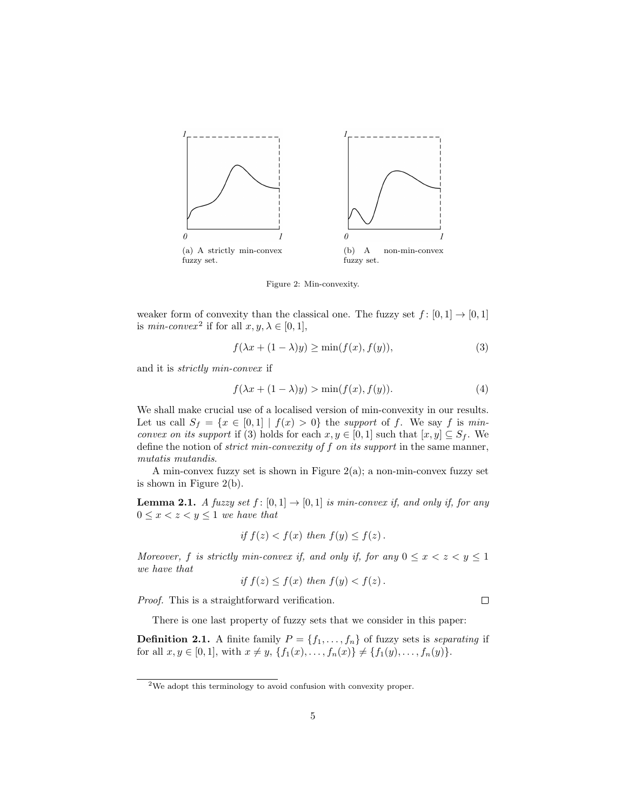

Figure 2: Min-convexity.

weaker form of convexity than the classical one. The fuzzy set  $f : [0, 1] \rightarrow [0, 1]$ is *min-convex*<sup>2</sup> if for all  $x, y, \lambda \in [0, 1]$ ,

$$
f(\lambda x + (1 - \lambda)y) \ge \min(f(x), f(y)),\tag{3}
$$

and it is strictly min-convex if

$$
f(\lambda x + (1 - \lambda)y) > \min(f(x), f(y)).
$$
\n(4)

We shall make crucial use of a localised version of min-convexity in our results. Let us call  $S_f = \{x \in [0,1] \mid f(x) > 0\}$  the support of f. We say f is minconvex on its support if (3) holds for each  $x, y \in [0, 1]$  such that  $[x, y] \subseteq S_f$ . We define the notion of *strict min-convexity of f on its support* in the same manner, mutatis mutandis.

A min-convex fuzzy set is shown in Figure  $2(a)$ ; a non-min-convex fuzzy set is shown in Figure 2(b).

**Lemma 2.1.** A fuzzy set  $f : [0,1] \rightarrow [0,1]$  is min-convex if, and only if, for any  $0 \leq x < z < y \leq 1$  we have that

if 
$$
f(z) < f(x)
$$
 then  $f(y) \leq f(z)$ .

Moreover, f is strictly min-convex if, and only if, for any  $0 \le x < z < y \le 1$ we have that

if 
$$
f(z) \leq f(x)
$$
 then  $f(y) < f(z)$ .

Proof. This is a straightforward verification.

There is one last property of fuzzy sets that we consider in this paper:

**Definition 2.1.** A finite family  $P = \{f_1, \ldots, f_n\}$  of fuzzy sets is *separating* if for all  $x, y \in [0, 1]$ , with  $x \neq y$ ,  $\{f_1(x), \ldots, f_n(x)\}\neq \{f_1(y), \ldots, f_n(y)\}.$ 

 $\Box$ 

<sup>2</sup>We adopt this terminology to avoid confusion with convexity proper.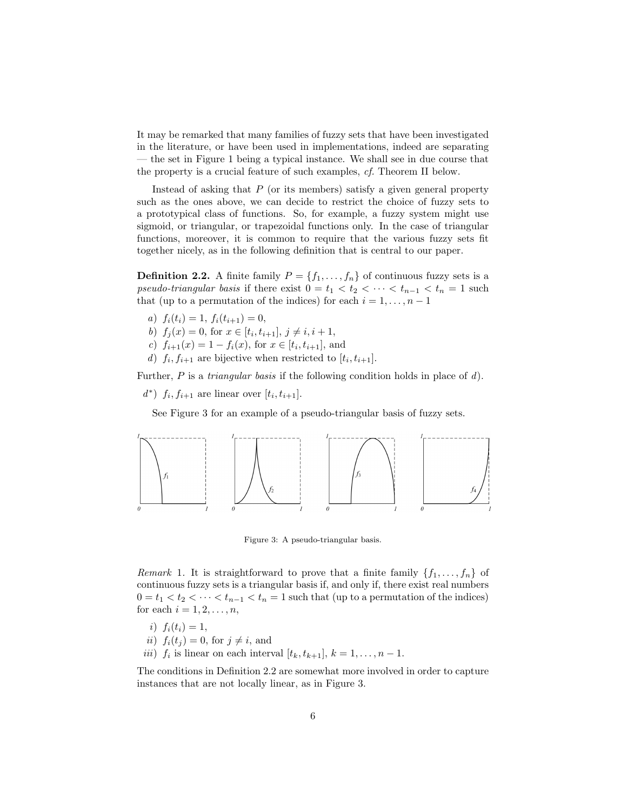It may be remarked that many families of fuzzy sets that have been investigated in the literature, or have been used in implementations, indeed are separating — the set in Figure 1 being a typical instance. We shall see in due course that the property is a crucial feature of such examples, cf. Theorem II below.

Instead of asking that  $P$  (or its members) satisfy a given general property such as the ones above, we can decide to restrict the choice of fuzzy sets to a prototypical class of functions. So, for example, a fuzzy system might use sigmoid, or triangular, or trapezoidal functions only. In the case of triangular functions, moreover, it is common to require that the various fuzzy sets fit together nicely, as in the following definition that is central to our paper.

**Definition 2.2.** A finite family  $P = \{f_1, \ldots, f_n\}$  of continuous fuzzy sets is a pseudo-triangular basis if there exist  $0 = t_1 < t_2 < \cdots < t_{n-1} < t_n = 1$  such that (up to a permutation of the indices) for each  $i = 1, \ldots, n - 1$ 

- a)  $f_i(t_i) = 1, f_i(t_{i+1}) = 0,$
- b)  $f_j(x) = 0$ , for  $x \in [t_i, t_{i+1}], j \neq i, i+1$ ,
- c)  $f_{i+1}(x) = 1 f_i(x)$ , for  $x \in [t_i, t_{i+1}]$ , and
- d)  $f_i, f_{i+1}$  are bijective when restricted to  $[t_i, t_{i+1}].$

Further, P is a *triangular basis* if the following condition holds in place of d).

 $d^*$ )  $f_i, f_{i+1}$  are linear over  $[t_i, t_{i+1}]$ .

See Figure 3 for an example of a pseudo-triangular basis of fuzzy sets.



Figure 3: A pseudo-triangular basis.

Remark 1. It is straightforward to prove that a finite family  $\{f_1, \ldots, f_n\}$  of continuous fuzzy sets is a triangular basis if, and only if, there exist real numbers  $0 = t_1 < t_2 < \cdots < t_{n-1} < t_n = 1$  such that (up to a permutation of the indices) for each  $i = 1, 2, \ldots, n$ ,

- i)  $f_i(t_i) = 1$ ,
- ii)  $f_i(t_j) = 0$ , for  $j \neq i$ , and
- *iii*)  $f_i$  is linear on each interval  $[t_k, t_{k+1}], k = 1, \ldots, n-1.$

The conditions in Definition 2.2 are somewhat more involved in order to capture instances that are not locally linear, as in Figure 3.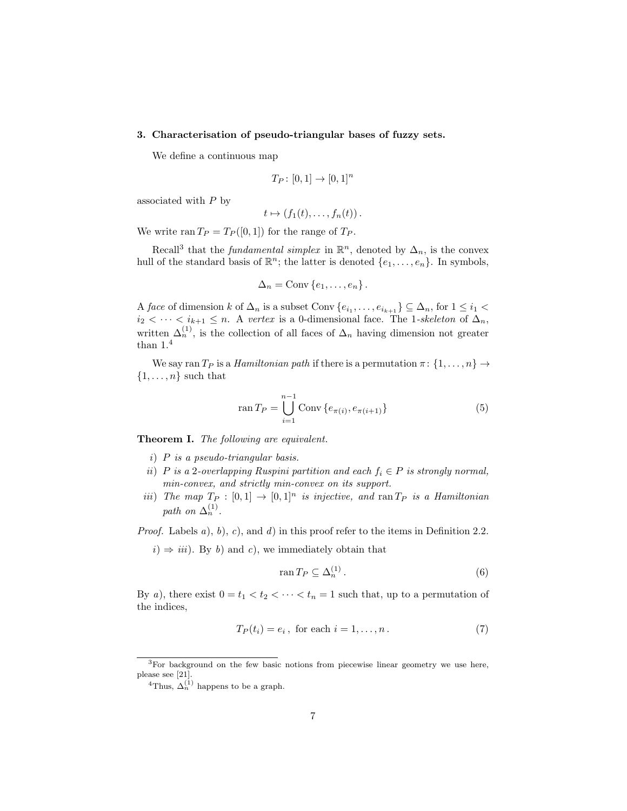#### 3. Characterisation of pseudo-triangular bases of fuzzy sets.

We define a continuous map

$$
T_P \colon [0,1] \to [0,1]^n
$$

associated with P by

$$
t\mapsto (f_1(t),\ldots,f_n(t))\,.
$$

We write ran  $T_P = T_P([0,1])$  for the range of  $T_P$ .

Recall<sup>3</sup> that the *fundamental simplex* in  $\mathbb{R}^n$ , denoted by  $\Delta_n$ , is the convex hull of the standard basis of  $\mathbb{R}^n$ ; the latter is denoted  $\{e_1, \ldots, e_n\}$ . In symbols,

$$
\Delta_n = \text{Conv}\left\{e_1, \ldots, e_n\right\}.
$$

A face of dimension k of  $\Delta_n$  is a subset Conv  $\{e_{i_1}, \ldots, e_{i_{k+1}}\} \subseteq \Delta_n$ , for  $1 \leq i_1 <$  $i_2 < \cdots < i_{k+1} \leq n$ . A vertex is a 0-dimensional face. The 1-skeleton of  $\Delta_n$ , written  $\Delta_n^{(1)}$ , is the collection of all faces of  $\Delta_n$  having dimension not greater than  $1.4$ 

We say ran  $T_P$  is a *Hamiltonian path* if there is a permutation  $\pi$ :  $\{1, \ldots, n\} \rightarrow$  $\{1, \ldots, n\}$  such that

$$
\operatorname{ran} T_P = \bigcup_{i=1}^{n-1} \operatorname{Conv} \{ e_{\pi(i)}, e_{\pi(i+1)} \} \tag{5}
$$

Theorem I. The following are equivalent.

- i) P is a pseudo-triangular basis.
- ii) P is a 2-overlapping Ruspini partition and each  $f_i \in P$  is strongly normal, min-convex, and strictly min-convex on its support.
- iii) The map  $T_P : [0,1] \rightarrow [0,1]^n$  is injective, and ran  $T_P$  is a Hamiltonian path on  $\Delta_n^{(1)}$ .

*Proof.* Labels  $a$ ,  $b$ ,  $c$ , and  $d$ ) in this proof refer to the items in Definition 2.2.

 $i) \Rightarrow iii$ ). By b) and c), we immediately obtain that

$$
\operatorname{ran} T_P \subseteq \Delta_n^{(1)}\,. \tag{6}
$$

By a), there exist  $0 = t_1 < t_2 < \cdots < t_n = 1$  such that, up to a permutation of the indices,

$$
T_P(t_i) = e_i, \text{ for each } i = 1, \dots, n. \tag{7}
$$

<sup>&</sup>lt;sup>3</sup>For background on the few basic notions from piecewise linear geometry we use here, please see [21].

<sup>&</sup>lt;sup>4</sup>Thus,  $\Delta_n^{(1)}$  happens to be a graph.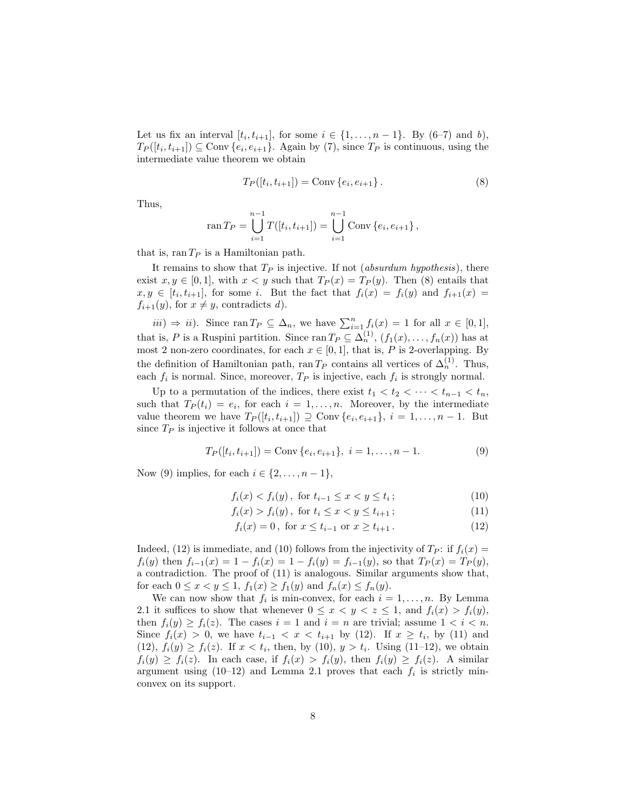Let us fix an interval  $[t_i, t_{i+1}]$ , for some  $i \in \{1, \ldots, n-1\}$ . By  $(6-7)$  and b),  $T_P([t_i, t_{i+1}]) \subseteq \text{Conv} \{e_i, e_{i+1}\}.$  Again by (7), since  $T_P$  is continuous, using the intermediate value theorem we obtain

$$
T_P([t_i, t_{i+1}]) = \text{Conv}\{e_i, e_{i+1}\}.
$$
\n(8)

Thus,

$$
\operatorname{ran} T_P = \bigcup_{i=1}^{n-1} T([t_i, t_{i+1}]) = \bigcup_{i=1}^{n-1} \operatorname{Conv} \{e_i, e_{i+1}\},
$$

that is,  $\text{ran } T_P$  is a Hamiltonian path.

It remains to show that  $T_P$  is injective. If not *(absurdum hypothesis)*, there exist  $x, y \in [0, 1]$ , with  $x < y$  such that  $T_P(x) = T_P(y)$ . Then (8) entails that  $x, y \in [t_i, t_{i+1}]$ , for some i. But the fact that  $f_i(x) = f_i(y)$  and  $f_{i+1}(x) =$  $f_{i+1}(y)$ , for  $x \neq y$ , contradicts d).

 $iii)$  ⇒ ii). Since ran  $T_P \subseteq \Delta_n$ , we have  $\sum_{i=1}^n f_i(x) = 1$  for all  $x \in [0,1]$ , that is, P is a Ruspini partition. Since ran  $T_P \subseteq \Delta_n^{(1)}$ ,  $(f_1(x), \ldots, f_n(x))$  has at most 2 non-zero coordinates, for each  $x \in [0, 1]$ , that is, P is 2-overlapping. By the definition of Hamiltonian path, ran T<sub>P</sub> contains all vertices of  $\Delta_n^{(1)}$ . Thus, each  $f_i$  is normal. Since, moreover,  $T_P$  is injective, each  $f_i$  is strongly normal.

Up to a permutation of the indices, there exist  $t_1 < t_2 < \cdots < t_{n-1} < t_n$ , such that  $T_P(t_i) = e_i$ , for each  $i = 1, ..., n$ . Moreover, by the intermediate value theorem we have  $T_P([t_i, t_{i+1}]) \supseteq \text{Conv}\{e_i, e_{i+1}\}, i = 1, \ldots, n-1$ . But since  $T_P$  is injective it follows at once that

$$
T_P([t_i, t_{i+1}]) = \text{Conv}\{e_i, e_{i+1}\}, \ i = 1, \dots, n-1. \tag{9}
$$

Now (9) implies, for each  $i \in \{2, \ldots, n-1\},\$ 

$$
f_i(x) < f_i(y), \text{ for } t_{i-1} \le x < y \le t_i; \tag{10}
$$

$$
f_i(x) > f_i(y), \text{ for } t_i \le x < y \le t_{i+1}; \tag{11}
$$

$$
f_i(x) = 0, \text{ for } x \le t_{i-1} \text{ or } x \ge t_{i+1}. \tag{12}
$$

Indeed, (12) is immediate, and (10) follows from the injectivity of  $T_P$ : if  $f_i(x) =$  $f_i(y)$  then  $f_{i-1}(x) = 1 - f_i(x) = 1 - f_i(y) = f_{i-1}(y)$ , so that  $T_P(x) = T_P(y)$ , a contradiction. The proof of (11) is analogous. Similar arguments show that, for each  $0 \le x < y \le 1$ ,  $f_1(x) \ge f_1(y)$  and  $f_n(x) \le f_n(y)$ .

We can now show that  $f_i$  is min-convex, for each  $i = 1, \ldots, n$ . By Lemma 2.1 it suffices to show that whenever  $0 \leq x < y < z \leq 1$ , and  $f_i(x) > f_i(y)$ , then  $f_i(y) \ge f_i(z)$ . The cases  $i = 1$  and  $i = n$  are trivial; assume  $1 < i < n$ . Since  $f_i(x) > 0$ , we have  $t_{i-1} < x < t_{i+1}$  by (12). If  $x \ge t_i$ , by (11) and  $(12)$ ,  $f_i(y) \ge f_i(z)$ . If  $x < t_i$ , then, by  $(10)$ ,  $y > t_i$ . Using  $(11-12)$ , we obtain  $f_i(y) \ge f_i(z)$ . In each case, if  $f_i(x) > f_i(y)$ , then  $f_i(y) \ge f_i(z)$ . A similar argument using  $(10-12)$  and Lemma 2.1 proves that each  $f_i$  is strictly minconvex on its support.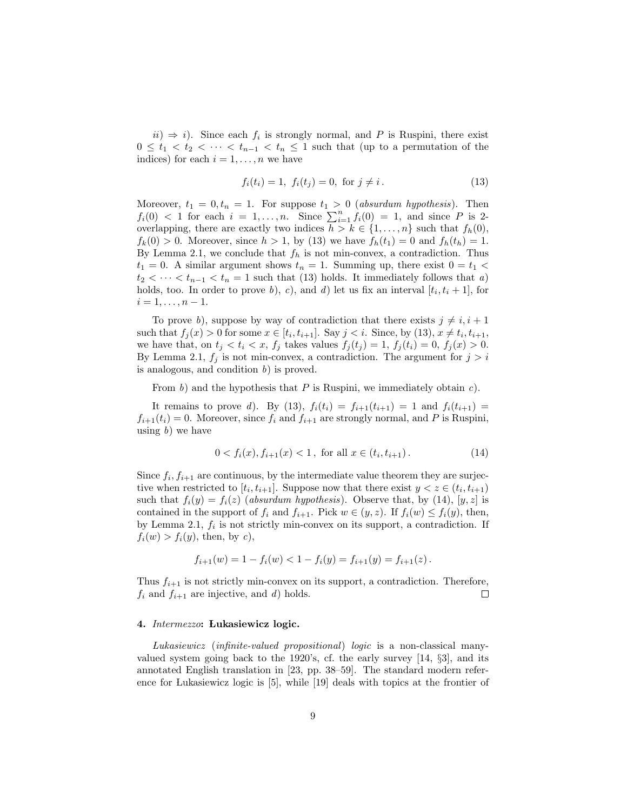$ii) \Rightarrow i$ . Since each  $f_i$  is strongly normal, and P is Ruspini, there exist  $0 \leq t_1 < t_2 < \cdots < t_{n-1} < t_n \leq 1$  such that (up to a permutation of the indices) for each  $i = 1, \ldots, n$  we have

$$
f_i(t_i) = 1, \ f_i(t_j) = 0, \text{ for } j \neq i. \tag{13}
$$

Moreover,  $t_1 = 0, t_n = 1$ . For suppose  $t_1 > 0$  (absurdum hypothesis). Then  $f_i(0)$  < 1 for each  $i = 1, \ldots, n$ . Since  $\sum_{i=1}^n f_i(0) = 1$ , and since P is 2overlapping, there are exactly two indices  $h > k \in \{1, \ldots, n\}$  such that  $f_h(0)$ ,  $f_k(0) > 0$ . Moreover, since  $h > 1$ , by (13) we have  $f_h(t_1) = 0$  and  $f_h(t_h) = 1$ . By Lemma 2.1, we conclude that  $f_h$  is not min-convex, a contradiction. Thus  $t_1 = 0$ . A similar argument shows  $t_n = 1$ . Summing up, there exist  $0 = t_1$  $t_2 < \cdots < t_{n-1} < t_n = 1$  such that (13) holds. It immediately follows that a) holds, too. In order to prove b), c), and d) let us fix an interval  $[t_i, t_i + 1]$ , for  $i = 1, \ldots, n - 1.$ 

To prove b), suppose by way of contradiction that there exists  $j \neq i, i + 1$ such that  $f_j(x) > 0$  for some  $x \in [t_i, t_{i+1}]$ . Say  $j < i$ . Since, by (13),  $x \neq t_i, t_{i+1}$ , we have that, on  $t_j < t_i < x$ ,  $f_j$  takes values  $f_j(t_j) = 1$ ,  $f_j(t_i) = 0$ ,  $f_j(x) > 0$ . By Lemma 2.1,  $f_i$  is not min-convex, a contradiction. The argument for  $j > i$ is analogous, and condition  $b$ ) is proved.

From b) and the hypothesis that  $P$  is Ruspini, we immediately obtain  $c$ .

It remains to prove d). By (13),  $f_i(t_i) = f_{i+1}(t_{i+1}) = 1$  and  $f_i(t_{i+1}) =$  $f_{i+1}(t_i) = 0$ . Moreover, since  $f_i$  and  $f_{i+1}$  are strongly normal, and P is Ruspini, using  $b)$  we have

$$
0 < f_i(x), f_{i+1}(x) < 1, \text{ for all } x \in (t_i, t_{i+1}).
$$
\n(14)

Since  $f_i, f_{i+1}$  are continuous, by the intermediate value theorem they are surjective when restricted to  $[t_i, t_{i+1}]$ . Suppose now that there exist  $y < z \in (t_i, t_{i+1})$ such that  $f_i(y) = f_i(z)$  (absurdum hypothesis). Observe that, by (14), [y, z] is contained in the support of  $f_i$  and  $f_{i+1}$ . Pick  $w \in (y, z)$ . If  $f_i(w) \leq f_i(y)$ , then, by Lemma 2.1,  $f_i$  is not strictly min-convex on its support, a contradiction. If  $f_i(w) > f_i(y)$ , then, by c),

$$
f_{i+1}(w) = 1 - f_i(w) < 1 - f_i(y) = f_{i+1}(y) = f_{i+1}(z).
$$

Thus  $f_{i+1}$  is not strictly min-convex on its support, a contradiction. Therefore,  $f_i$  and  $f_{i+1}$  are injective, and d) holds.  $\Box$ 

#### 4. Intermezzo: Lukasiewicz logic.

 Lukasiewicz (infinite-valued propositional) logic is a non-classical manyvalued system going back to the 1920's, cf. the early survey [14, §3], and its annotated English translation in [23, pp. 38–59]. The standard modern reference for Lukasiewicz logic is [5], while [19] deals with topics at the frontier of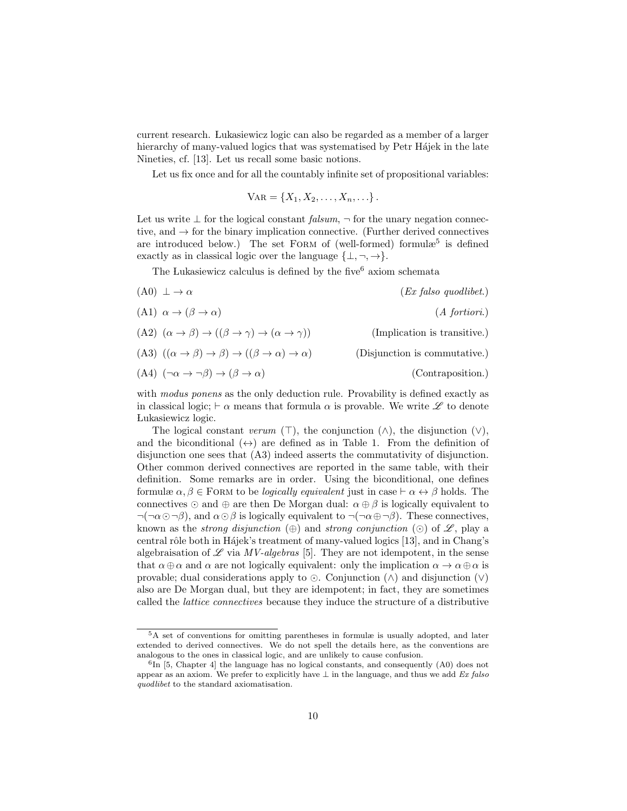current research. Lukasiewicz logic can also be regarded as a member of a larger hierarchy of many-valued logics that was systematised by Petr Hájek in the late Nineties, cf. [13]. Let us recall some basic notions.

Let us fix once and for all the countably infinite set of propositional variables:

$$
VAR = \{X_1, X_2, \ldots, X_n, \ldots\}.
$$

Let us write  $\perp$  for the logical constant falsum,  $\neg$  for the unary negation connective, and  $\rightarrow$  for the binary implication connective. (Further derived connectives are introduced below.) The set FORM of (well-formed) formulæ<sup>5</sup> is defined exactly as in classical logic over the language  $\{\perp, \neg, \rightarrow\}.$ 

The Lukasiewicz calculus is defined by the five<sup>6</sup> axiom schemata

- $(0) \perp \rightarrow \alpha$  (Ex falso quodlibet.)
- (A1)  $\alpha \to (\beta \to \alpha)$  (A fortiori.)
- (A2)  $(\alpha \to \beta) \to ((\beta \to \gamma) \to (\alpha \to \gamma))$  (Implication is transitive.) (A3)  $((\alpha \to \beta) \to \beta) \to ((\beta \to \alpha) \to \alpha)$  (Disjunction is commutative.)
- (A4)  $(\neg \alpha \to \neg \beta) \to (\beta \to \alpha)$  (Contraposition.)

with *modus ponens* as the only deduction rule. Provability is defined exactly as in classical logic;  $\vdash \alpha$  means that formula  $\alpha$  is provable. We write  $\mathscr L$  to denote Lukasiewicz logic.

The logical constant verum ( $\top$ ), the conjunction ( $\land$ ), the disjunction ( $\lor$ ), and the biconditional  $(\leftrightarrow)$  are defined as in Table 1. From the definition of disjunction one sees that (A3) indeed asserts the commutativity of disjunction. Other common derived connectives are reported in the same table, with their definition. Some remarks are in order. Using the biconditional, one defines formulæ  $\alpha, \beta \in$  FORM to be *logically equivalent* just in case  $\vdash \alpha \leftrightarrow \beta$  holds. The connectives  $\odot$  and  $\oplus$  are then De Morgan dual:  $\alpha \oplus \beta$  is logically equivalent to  $\neg(\neg \alpha \odot \neg \beta)$ , and  $\alpha \odot \beta$  is logically equivalent to  $\neg(\neg \alpha \oplus \neg \beta)$ . These connectives, known as the *strong disjunction*  $(\oplus)$  and *strong conjunction*  $(\odot)$  of  $\mathscr{L}$ , play a central rôle both in Hájek's treatment of many-valued logics [13], and in Chang's algebraisation of  $\mathscr L$  via MV-algebras [5]. They are not idempotent, in the sense that  $\alpha \oplus \alpha$  and  $\alpha$  are not logically equivalent: only the implication  $\alpha \to \alpha \oplus \alpha$  is provable; dual considerations apply to  $\odot$ . Conjunction ( $\land$ ) and disjunction ( $\lor$ ) also are De Morgan dual, but they are idempotent; in fact, they are sometimes called the lattice connectives because they induce the structure of a distributive

<sup>5</sup>A set of conventions for omitting parentheses in formulæ is usually adopted, and later extended to derived connectives. We do not spell the details here, as the conventions are analogous to the ones in classical logic, and are unlikely to cause confusion.

 ${}^{6}$ In [5, Chapter 4] the language has no logical constants, and consequently (A0) does not appear as an axiom. We prefer to explicitly have  $\perp$  in the language, and thus we add Ex falso quodlibet to the standard axiomatisation.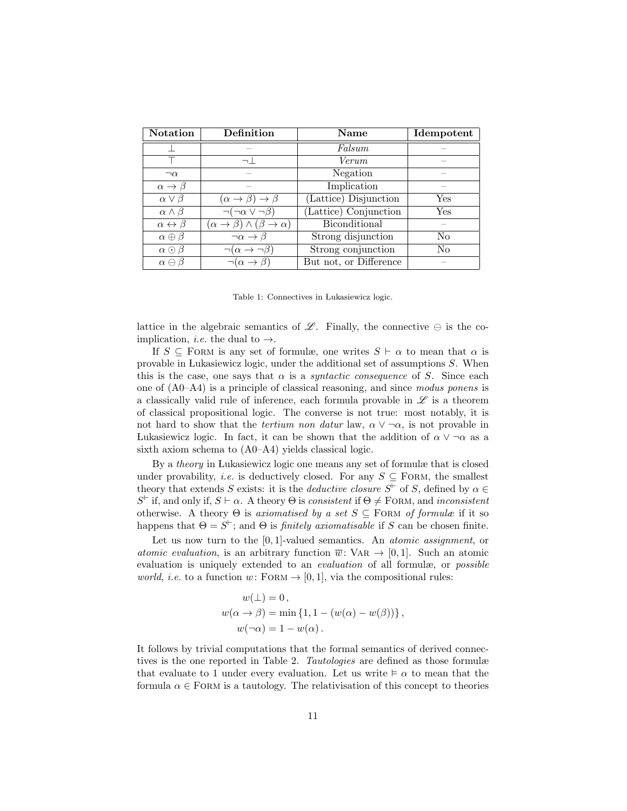| <b>Notation</b>                | Definition                                     | Name                   | Idempotent     |
|--------------------------------|------------------------------------------------|------------------------|----------------|
|                                |                                                | Falsum                 |                |
|                                |                                                | Verum                  |                |
| $\neg \alpha$                  |                                                | Negation               |                |
| $\alpha \rightarrow \beta$     |                                                | Implication            |                |
| $\alpha \vee \beta$            | $(\alpha \rightarrow \beta) \rightarrow \beta$ | (Lattice) Disjunction  | Yes            |
| $\alpha \wedge \beta$          | $\neg(\neg\alpha \vee \neg\beta)$              | (Lattice) Conjunction  | Yes            |
| $\alpha \leftrightarrow \beta$ | $(\alpha \to \beta) \wedge (\beta \to \alpha)$ | Biconditional          |                |
| $\alpha \oplus \beta$          | $\neg \alpha \rightarrow \beta$                | Strong disjunction     | No.            |
| $\alpha \odot \beta$           | $\neg(\alpha \rightarrow$                      | Strong conjunction     | N <sub>o</sub> |
| $\alpha \ominus \beta$         | $\neg(\alpha \rightarrow \beta)$               | But not, or Difference |                |

Table 1: Connectives in Lukasiewicz logic.

lattice in the algebraic semantics of  $\mathscr{L}$ . Finally, the connective  $\ominus$  is the coimplication, *i.e.* the dual to  $\rightarrow$ .

If  $S \subseteq$  FORM is any set of formulæ, one writes  $S \vdash \alpha$  to mean that  $\alpha$  is provable in Lukasiewicz logic, under the additional set of assumptions S. When this is the case, one says that  $\alpha$  is a *syntactic consequence* of S. Since each one of (A0–A4) is a principle of classical reasoning, and since modus ponens is a classically valid rule of inference, each formula provable in  $\mathscr L$  is a theorem of classical propositional logic. The converse is not true: most notably, it is not hard to show that the *tertium non datur* law,  $\alpha \vee \neg \alpha$ , is not provable in Lukasiewicz logic. In fact, it can be shown that the addition of  $\alpha \vee \neg \alpha$  as a sixth axiom schema to (A0–A4) yields classical logic.

By a theory in Lukasiewicz logic one means any set of formulæ that is closed under provability, *i.e.* is deductively closed. For any  $S \subseteq$  FORM, the smallest theory that extends S exists: it is the *deductive closure*  $S^{\vdash}$  of S, defined by  $\alpha \in$  $S^{\vdash}$  if, and only if,  $S \vdash \alpha$ . A theory  $\Theta$  is consistent if  $\Theta \neq \text{FORM}$ , and inconsistent otherwise. A theory  $\Theta$  is axiomatised by a set  $S \subseteq$  FORM of formulæ if it so happens that  $\Theta = S^{\vdash}$ ; and  $\Theta$  is *finitely axiomatisable* if S can be chosen finite.

Let us now turn to the  $[0, 1]$ -valued semantics. An *atomic assignment*, or atomic evaluation, is an arbitrary function  $\overline{w}$ : VAR  $\rightarrow$  [0, 1]. Such an atomic evaluation is uniquely extended to an *evaluation* of all formulæ, or *possible world, i.e.* to a function  $w:$  FORM  $\rightarrow$  [0, 1], via the compositional rules:

$$
w(\bot) = 0,
$$
  
\n
$$
w(\alpha \to \beta) = \min \{1, 1 - (w(\alpha) - w(\beta))\},
$$
  
\n
$$
w(\neg \alpha) = 1 - w(\alpha).
$$

It follows by trivial computations that the formal semantics of derived connectives is the one reported in Table 2. Tautologies are defined as those formulæ that evaluate to 1 under every evaluation. Let us write  $\vdash \alpha$  to mean that the formula  $\alpha \in$  FORM is a tautology. The relativisation of this concept to theories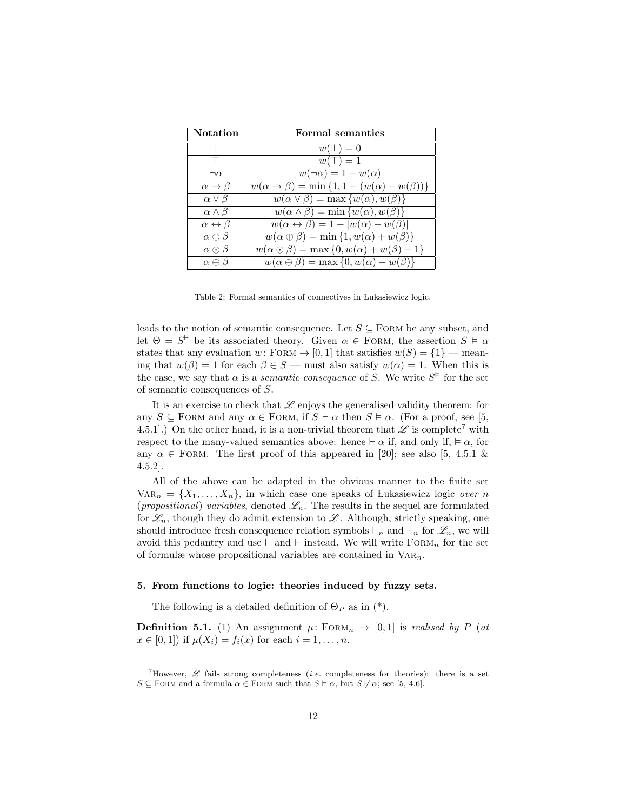| <b>Notation</b>                | Formal semantics                                                         |
|--------------------------------|--------------------------------------------------------------------------|
|                                | $w(\perp)=0$                                                             |
|                                | $w(\top) = 1$                                                            |
| $\neg \alpha$                  | $w(\neg \alpha) = 1 - w(\alpha)$                                         |
| $\alpha \rightarrow \beta$     | $w(\alpha \to \beta) = \min\{1, 1 - (w(\alpha) - w(\beta))\}$            |
| $\alpha \vee \beta$            | $w(\alpha \vee \beta) = \max \{w(\alpha), w(\beta)\}\$                   |
| $\alpha \wedge \beta$          | $w(\alpha \wedge \beta) = \min \{w(\alpha), w(\beta)\}\$                 |
| $\alpha \leftrightarrow \beta$ | $w(\alpha \leftrightarrow \beta) = 1 -  w(\alpha) - w(\beta) $           |
| $\alpha \oplus \beta$          | $\overline{w(\alpha \oplus \beta)}$ = min {1, $w(\alpha)$ + $w(\beta)$ } |
| $\alpha \odot \beta$           | $w(\alpha \odot \beta) = \max\{0, w(\alpha) + w(\beta) - 1\}$            |
| $\alpha \ominus \beta$         | $w(\alpha \ominus \beta) = \max\{0, w(\alpha) - w(\beta)\}\$             |

Table 2: Formal semantics of connectives in Lukasiewicz logic.

leads to the notion of semantic consequence. Let  $S \subseteq$  FORM be any subset, and let  $\Theta = S^{\vdash}$  be its associated theory. Given  $\alpha \in \text{FoRM}$ , the assertion  $S \models \alpha$ states that any evaluation w: FORM  $\rightarrow$  [0, 1] that satisfies  $w(S) = \{1\}$  — meaning that  $w(\beta) = 1$  for each  $\beta \in S$  — must also satisfy  $w(\alpha) = 1$ . When this is the case, we say that  $\alpha$  is a *semantic consequence* of S. We write  $S^{\varepsilon}$  for the set of semantic consequences of S.

It is an exercise to check that  $\mathscr L$  enjoys the generalised validity theorem: for any  $S \subseteq$  FORM and any  $\alpha \in$  FORM, if  $S \vdash \alpha$  then  $S \models \alpha$ . (For a proof, see [5, 4.5.1].) On the other hand, it is a non-trivial theorem that  $\mathscr L$  is complete<sup>7</sup> with respect to the many-valued semantics above: hence  $\vdash \alpha$  if, and only if,  $\models \alpha$ , for any  $\alpha \in$  FORM. The first proof of this appeared in [20]; see also [5, 4.5.1 & 4.5.2].

All of the above can be adapted in the obvious manner to the finite set  $VAR_n = \{X_1, \ldots, X_n\}$ , in which case one speaks of Lukasiewicz logic over n (propositional) variables, denoted  $\mathscr{L}_n$ . The results in the sequel are formulated for  $\mathscr{L}_n$ , though they do admit extension to  $\mathscr{L}$ . Although, strictly speaking, one should introduce fresh consequence relation symbols  $\vdash_n$  and  $\vdash_n$  for  $\mathscr{L}_n$ , we will avoid this pedantry and use  $\vdash$  and  $\vDash$  instead. We will write  $FORN_n$  for the set of formulæ whose propositional variables are contained in  $VAR_n$ .

#### 5. From functions to logic: theories induced by fuzzy sets.

The following is a detailed definition of  $\Theta_P$  as in (\*).

**Definition 5.1.** (1) An assignment  $\mu$ : FORM<sub>n</sub>  $\rightarrow$  [0, 1] is realised by P (at  $x \in [0, 1]$  if  $\mu(X_i) = f_i(x)$  for each  $i = 1, ..., n$ .

<sup>&</sup>lt;sup>7</sup>However,  $\mathscr L$  fails strong completeness *(i.e.* completeness for theories): there is a set  $S \subseteq$  FORM and a formula  $\alpha \in$  FORM such that  $S \models \alpha$ , but  $S \not\vdash \alpha$ ; see [5, 4.6].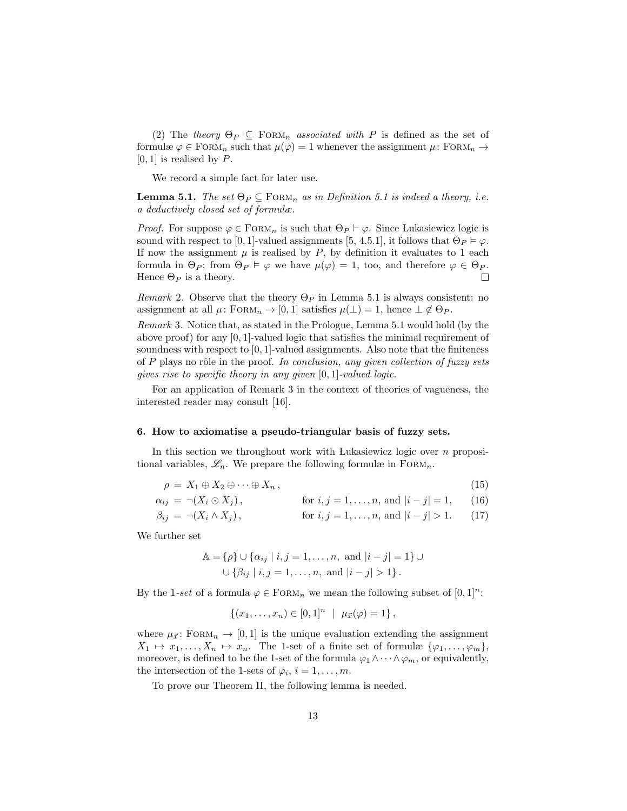(2) The theory  $\Theta_P \subseteq \text{FORM}_n$  associated with P is defined as the set of formulæ  $\varphi \in \text{FoRM}_n$  such that  $\mu(\varphi) = 1$  whenever the assignment  $\mu \colon \text{FoRM}_n \to$  $[0, 1]$  is realised by P.

We record a simple fact for later use.

**Lemma 5.1.** The set  $\Theta_P \subseteq \text{FORM}_n$  as in Definition 5.1 is indeed a theory, i.e. a deductively closed set of formulæ.

*Proof.* For suppose  $\varphi \in \text{FoRM}_n$  is such that  $\Theta_P \vdash \varphi$ . Since Lukasiewicz logic is sound with respect to [0, 1]-valued assignments [5, 4.5.1], it follows that  $\Theta_P \models \varphi$ . If now the assignment  $\mu$  is realised by  $P$ , by definition it evaluates to 1 each formula in  $\Theta_P$ ; from  $\Theta_P \models \varphi$  we have  $\mu(\varphi) = 1$ , too, and therefore  $\varphi \in \Theta_P$ . Hence  $\Theta_P$  is a theory.  $\Box$ 

Remark 2. Observe that the theory  $\Theta_P$  in Lemma 5.1 is always consistent: no assignment at all  $\mu$ : FORM<sub>n</sub>  $\rightarrow$  [0, 1] satisfies  $\mu(\perp) = 1$ , hence  $\perp \notin \Theta_P$ .

Remark 3. Notice that, as stated in the Prologue, Lemma 5.1 would hold (by the above proof) for any  $[0, 1]$ -valued logic that satisfies the minimal requirement of soundness with respect to  $[0, 1]$ -valued assignments. Also note that the finiteness of P plays no rôle in the proof. In conclusion, any given collection of fuzzy sets gives rise to specific theory in any given [0, 1]-valued logic.

For an application of Remark 3 in the context of theories of vagueness, the interested reader may consult [16].

#### 6. How to axiomatise a pseudo-triangular basis of fuzzy sets.

In this section we throughout work with Lukasiewicz logic over  $n$  propositional variables,  $\mathscr{L}_n$ . We prepare the following formulæ in FORM<sub>n</sub>.

$$
\rho = X_1 \oplus X_2 \oplus \cdots \oplus X_n, \qquad (15)
$$

$$
\alpha_{ij} = \neg(X_i \odot X_j), \qquad \text{for } i, j = 1, \dots, n, \text{ and } |i - j| = 1, \qquad (16)
$$

$$
\beta_{ij} = \neg(X_i \land X_j), \qquad \text{for } i, j = 1, \dots, n, \text{ and } |i - j| > 1. \tag{17}
$$

We further set

$$
\mathbb{A} = \{ \rho \} \cup \{ \alpha_{ij} \mid i, j = 1, ..., n, \text{ and } |i - j| = 1 \} \cup \{ \beta_{ij} \mid i, j = 1, ..., n, \text{ and } |i - j| > 1 \}.
$$

By the 1-set of a formula  $\varphi \in \text{FoRM}_n$  we mean the following subset of  $[0,1]^n$ :

$$
\{(x_1,\ldots,x_n)\in [0,1]^n \mid \mu_{\vec{x}}(\varphi)=1\},\
$$

where  $\mu_{\vec{x}}$ : FORM<sub>n</sub>  $\rightarrow$  [0, 1] is the unique evaluation extending the assignment  $X_1 \mapsto x_1, \ldots, X_n \mapsto x_n$ . The 1-set of a finite set of formulæ  $\{\varphi_1, \ldots, \varphi_m\},$ moreover, is defined to be the 1-set of the formula  $\varphi_1 \wedge \cdots \wedge \varphi_m$ , or equivalently, the intersection of the 1-sets of  $\varphi_i$ ,  $i = 1, \ldots, m$ .

To prove our Theorem II, the following lemma is needed.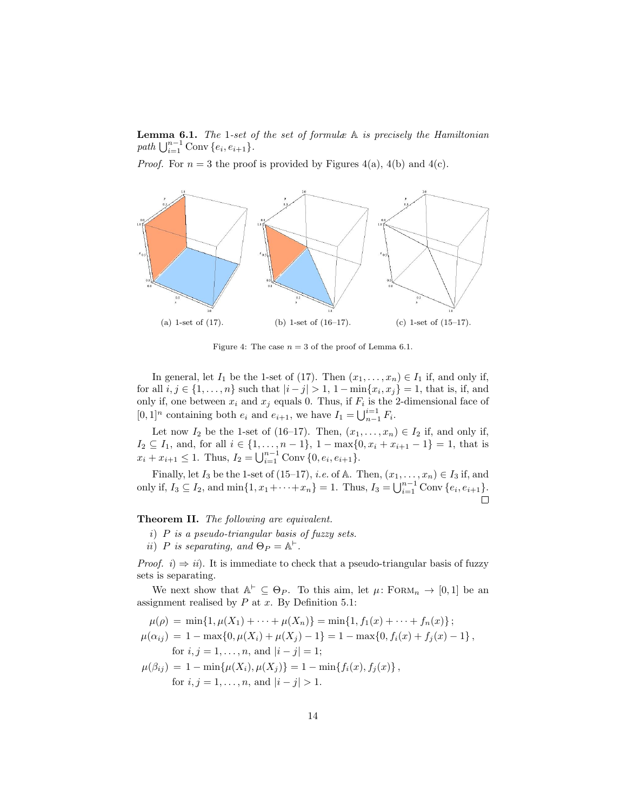**Lemma 6.1.** The 1-set of the set of formulæ  $A$  is precisely the Hamiltonian path  $\bigcup_{i=1}^{n-1}$  Conv  $\{e_i, e_{i+1}\}.$ 

*Proof.* For  $n = 3$  the proof is provided by Figures 4(a), 4(b) and 4(c).



Figure 4: The case  $n = 3$  of the proof of Lemma 6.1.

In general, let  $I_1$  be the 1-set of (17). Then  $(x_1, \ldots, x_n) \in I_1$  if, and only if, for all  $i, j \in \{1, ..., n\}$  such that  $|i - j| > 1$ ,  $1 - \min\{x_i, x_j\} = 1$ , that is, if, and only if, one between  $x_i$  and  $x_j$  equals 0. Thus, if  $F_i$  is the 2-dimensional face of  $[0, 1]^n$  containing both  $e_i$  and  $e_{i+1}$ , we have  $I_1 = \bigcup_{n=1}^{i=1} F_i$ .

Let now  $I_2$  be the 1-set of (16–17). Then,  $(x_1, \ldots, x_n) \in I_2$  if, and only if,  $I_2 \subseteq I_1$ , and, for all  $i \in \{1, ..., n-1\}$ ,  $1 - \max\{0, x_i + x_{i+1} - 1\} = 1$ , that is  $x_i + x_{i+1} \leq 1$ . Thus,  $I_2 = \bigcup_{i=1}^{n-1}$  Conv  $\{0, e_i, e_{i+1}\}.$ 

Finally, let  $I_3$  be the 1-set of (15–17), *i.e.* of A. Then,  $(x_1, \ldots, x_n) \in I_3$  if, and only if,  $I_3 \subseteq I_2$ , and  $\min\{1, x_1 + \cdots + x_n\} = 1$ . Thus,  $I_3 = \bigcup_{i=1}^{n-1} \text{Conv}\{e_i, e_{i+1}\}.$  $\Box$ 

#### Theorem II. The following are equivalent.

- i) P is a pseudo-triangular basis of fuzzy sets.
- ii) P is separating, and  $\Theta_P = \mathbb{A}^{\vdash}$ .

*Proof.* i)  $\Rightarrow$  ii). It is immediate to check that a pseudo-triangular basis of fuzzy sets is separating.

We next show that  $\mathbb{A}^{\vdash} \subseteq \Theta_P$ . To this aim, let  $\mu$ : FORM<sub>n</sub>  $\rightarrow$  [0, 1] be an assignment realised by  $P$  at  $x$ . By Definition 5.1:

$$
\mu(\rho) = \min\{1, \mu(X_1) + \cdots + \mu(X_n)\} = \min\{1, f_1(x) + \cdots + f_n(x)\};
$$
  
\n
$$
\mu(\alpha_{ij}) = 1 - \max\{0, \mu(X_i) + \mu(X_j) - 1\} = 1 - \max\{0, f_i(x) + f_j(x) - 1\},
$$
  
\nfor  $i, j = 1, ..., n$ , and  $|i - j| = 1$ ;  
\n
$$
\mu(\beta_{ij}) = 1 - \min\{\mu(X_i), \mu(X_j)\} = 1 - \min\{f_i(x), f_j(x)\},
$$
  
\nfor  $i, j = 1, ..., n$ , and  $|i - j| > 1$ .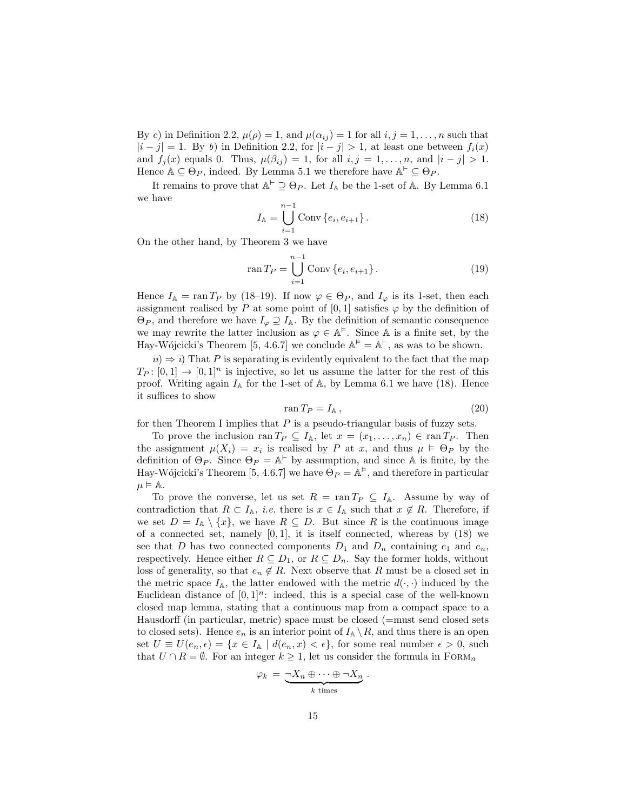By c) in Definition 2.2,  $\mu(\rho) = 1$ , and  $\mu(\alpha_{ij}) = 1$  for all  $i, j = 1, ..., n$  such that  $|i - j| = 1$ . By b) in Definition 2.2, for  $|i - j| > 1$ , at least one between  $f_i(x)$ and  $f_j(x)$  equals 0. Thus,  $\mu(\beta_{ij}) = 1$ , for all  $i, j = 1, \ldots, n$ , and  $|i - j| > 1$ . Hence  $\mathbb{A} \subseteq \Theta_P$ , indeed. By Lemma 5.1 we therefore have  $\mathbb{A}^{\vdash} \subseteq \Theta_P$ .

It remains to prove that  $\mathbb{A}^{\vdash} \supseteq \Theta_P$ . Let  $I_{\mathbb{A}}$  be the 1-set of  $\mathbb{A}$ . By Lemma 6.1 we have

$$
I_{\mathbb{A}} = \bigcup_{i=1}^{n-1} \text{Conv}\{e_i, e_{i+1}\}.
$$
 (18)

On the other hand, by Theorem 3 we have

$$
\operatorname{ran} T_P = \bigcup_{i=1}^{n-1} \operatorname{Conv} \{e_i, e_{i+1}\}.
$$
 (19)

Hence  $I_{\mathbb{A}} = \text{ran } T_P$  by (18–19). If now  $\varphi \in \Theta_P$ , and  $I_{\varphi}$  is its 1-set, then each assignment realised by P at some point of [0, 1] satisfies  $\varphi$  by the definition of  $\Theta_P$ , and therefore we have  $I_{\varphi} \supseteq I_{\mathbb{A}}$ . By the definition of semantic consequence we may rewrite the latter inclusion as  $\varphi \in A^{\models}$ . Since A is a finite set, by the Hay-Wójcicki's Theorem [5, 4.6.7] we conclude  $\mathbb{A}^{\varepsilon} = \mathbb{A}^{\varepsilon}$ , as was to be shown.

 $ii) \Rightarrow i$ ) That P is separating is evidently equivalent to the fact that the map  $T_P: [0, 1] \to [0, 1]^n$  is injective, so let us assume the latter for the rest of this proof. Writing again  $I_A$  for the 1-set of A, by Lemma 6.1 we have (18). Hence it suffices to show

$$
ran T_P = I_A, \t\t(20)
$$

for then Theorem I implies that  $P$  is a pseudo-triangular basis of fuzzy sets.

To prove the inclusion ran  $T_P \subseteq I_{\mathbb{A}}$ , let  $x = (x_1, \ldots, x_n) \in \operatorname{ran} T_P$ . Then the assignment  $\mu(X_i) = x_i$  is realised by P at x, and thus  $\mu \models \Theta_P$  by the definition of  $\Theta_P$ . Since  $\Theta_P = \mathbb{A}^{\vdash}$  by assumption, and since A is finite, by the Hay-Wójcicki's Theorem [5, 4.6.7] we have  $\mathcal{O}_P = \mathbb{A}^{\vDash}$ , and therefore in particular  $\mu \models A.$ 

To prove the converse, let us set  $R = \text{ran } T_P \subseteq I_{\mathbb{A}}$ . Assume by way of contradiction that  $R \subset I_{\mathbb{A}}$ , *i.e.* there is  $x \in I_{\mathbb{A}}$  such that  $x \notin R$ . Therefore, if we set  $D = I_A \setminus \{x\}$ , we have  $R \subseteq D$ . But since R is the continuous image of a connected set, namely  $[0, 1]$ , it is itself connected, whereas by  $(18)$  we see that D has two connected components  $D_1$  and  $D_n$  containing  $e_1$  and  $e_n$ , respectively. Hence either  $R \subseteq D_1$ , or  $R \subseteq D_n$ . Say the former holds, without loss of generality, so that  $e_n \notin R$ . Next observe that R must be a closed set in the metric space  $I_{\mathbb{A}}$ , the latter endowed with the metric  $d(\cdot, \cdot)$  induced by the Euclidean distance of  $[0, 1]^n$ : indeed, this is a special case of the well-known closed map lemma, stating that a continuous map from a compact space to a Hausdorff (in particular, metric) space must be closed (=must send closed sets to closed sets). Hence  $e_n$  is an interior point of  $I_{\mathbb{A}} \setminus R$ , and thus there is an open set  $U \equiv U(e_n, \epsilon) = \{x \in I_\mathbb{A} \mid d(e_n, x) < \epsilon\}$ , for some real number  $\epsilon > 0$ , such that  $U \cap R = \emptyset$ . For an integer  $k \geq 1$ , let us consider the formula in  $F(\Omega)$ 

$$
\varphi_k = \underbrace{-X_n \oplus \cdots \oplus \neg X_n}_{k \text{ times}}.
$$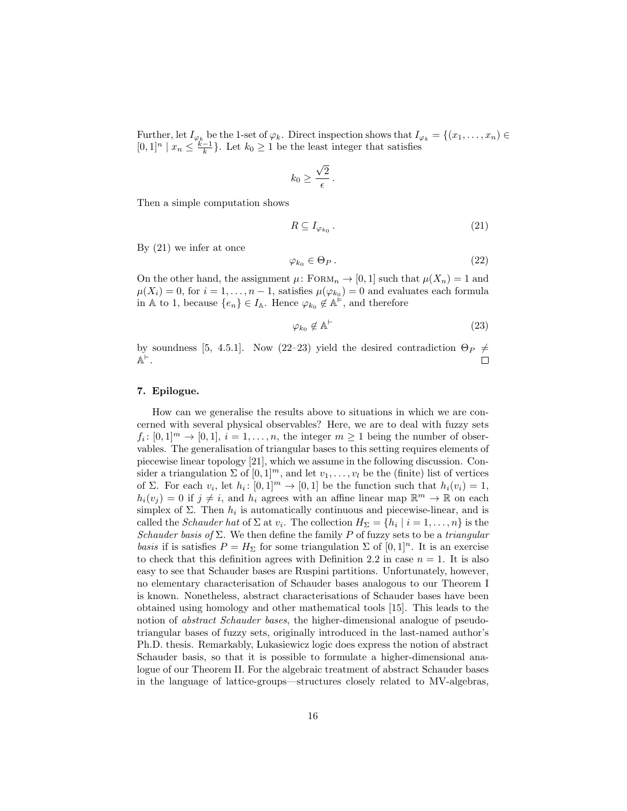Further, let  $I_{\varphi_k}$  be the 1-set of  $\varphi_k$ . Direct inspection shows that  $I_{\varphi_k} = \{(x_1, \ldots, x_n) \in$  $[0,1]^n \mid x_n \leq \frac{k-1}{k}$ . Let  $k_0 \geq 1$  be the least integer that satisfies

$$
k_0 \geq \frac{\sqrt{2}}{\epsilon}.
$$

Then a simple computation shows

$$
R \subseteq I_{\varphi_{k_0}}\,. \tag{21}
$$

By (21) we infer at once

$$
\varphi_{k_0} \in \Theta_P \,. \tag{22}
$$

On the other hand, the assignment  $\mu$ : FORM<sub>n</sub>  $\rightarrow$  [0, 1] such that  $\mu(X_n) = 1$  and  $\mu(X_i) = 0$ , for  $i = 1, ..., n - 1$ , satisfies  $\mu(\varphi_{k_0}) = 0$  and evaluates each formula in A to 1, because  $\{e_n\} \in I_{\mathbb{A}}$ . Hence  $\varphi_{k_0} \notin \mathbb{A}^{\vDash}$ , and therefore

$$
\varphi_{k_0} \notin \mathbb{A}^{\vdash} \tag{23}
$$

by soundness [5, 4.5.1]. Now (22–23) yield the desired contradiction  $\Theta_P \neq$  $\mathbb{A}^{\vdash}$  .  $\Box$ 

#### 7. Epilogue.

How can we generalise the results above to situations in which we are concerned with several physical observables? Here, we are to deal with fuzzy sets  $f_i: [0,1]^m \to [0,1], i = 1,\ldots,n$ , the integer  $m \geq 1$  being the number of observables. The generalisation of triangular bases to this setting requires elements of piecewise linear topology [21], which we assume in the following discussion. Consider a triangulation  $\Sigma$  of  $[0,1]^m$ , and let  $v_1, \ldots, v_l$  be the (finite) list of vertices of Σ. For each  $v_i$ , let  $h_i: [0,1]^m \to [0,1]$  be the function such that  $h_i(v_i) = 1$ ,  $h_i(v_j) = 0$  if  $j \neq i$ , and  $h_i$  agrees with an affine linear map  $\mathbb{R}^m \to \mathbb{R}$  on each simplex of  $\Sigma$ . Then  $h_i$  is automatically continuous and piecewise-linear, and is called the *Schauder hat* of  $\Sigma$  at  $v_i$ . The collection  $H_{\Sigma} = \{h_i \mid i = 1, \ldots, n\}$  is the Schauder basis of  $\Sigma$ . We then define the family P of fuzzy sets to be a triangular basis if is satisfies  $P = H_{\Sigma}$  for some triangulation  $\Sigma$  of  $[0, 1]^n$ . It is an exercise to check that this definition agrees with Definition 2.2 in case  $n = 1$ . It is also easy to see that Schauder bases are Ruspini partitions. Unfortunately, however, no elementary characterisation of Schauder bases analogous to our Theorem I is known. Nonetheless, abstract characterisations of Schauder bases have been obtained using homology and other mathematical tools [15]. This leads to the notion of abstract Schauder bases, the higher-dimensional analogue of pseudotriangular bases of fuzzy sets, originally introduced in the last-named author's Ph.D. thesis. Remarkably, Lukasiewicz logic does express the notion of abstract Schauder basis, so that it is possible to formulate a higher-dimensional analogue of our Theorem II. For the algebraic treatment of abstract Schauder bases in the language of lattice-groups—structures closely related to MV-algebras,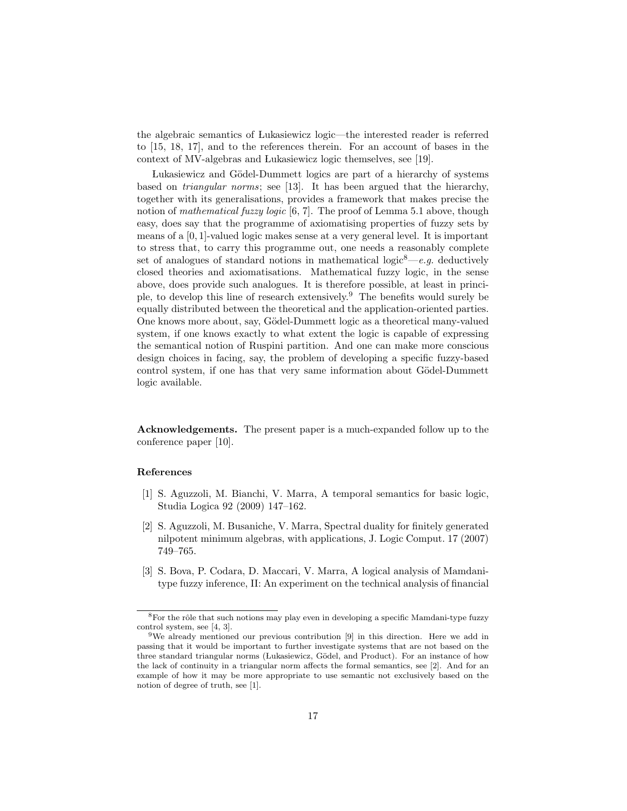the algebraic semantics of Lukasiewicz logic—the interested reader is referred to [15, 18, 17], and to the references therein. For an account of bases in the context of MV-algebras and Lukasiewicz logic themselves, see [19].

Lukasiewicz and Gödel-Dummett logics are part of a hierarchy of systems based on triangular norms; see [13]. It has been argued that the hierarchy, together with its generalisations, provides a framework that makes precise the notion of *mathematical fuzzy logic* [6, 7]. The proof of Lemma 5.1 above, though easy, does say that the programme of axiomatising properties of fuzzy sets by means of a [0, 1]-valued logic makes sense at a very general level. It is important to stress that, to carry this programme out, one needs a reasonably complete set of analogues of standard notions in mathematical logic<sup>8</sup>—e.g. deductively closed theories and axiomatisations. Mathematical fuzzy logic, in the sense above, does provide such analogues. It is therefore possible, at least in principle, to develop this line of research extensively.<sup>9</sup> The benefits would surely be equally distributed between the theoretical and the application-oriented parties. One knows more about, say, Gödel-Dummett logic as a theoretical many-valued system, if one knows exactly to what extent the logic is capable of expressing the semantical notion of Ruspini partition. And one can make more conscious design choices in facing, say, the problem of developing a specific fuzzy-based control system, if one has that very same information about Gödel-Dummett logic available.

Acknowledgements. The present paper is a much-expanded follow up to the conference paper [10].

#### References

- [1] S. Aguzzoli, M. Bianchi, V. Marra, A temporal semantics for basic logic, Studia Logica 92 (2009) 147–162.
- [2] S. Aguzzoli, M. Busaniche, V. Marra, Spectral duality for finitely generated nilpotent minimum algebras, with applications, J. Logic Comput. 17 (2007) 749–765.
- [3] S. Bova, P. Codara, D. Maccari, V. Marra, A logical analysis of Mamdanitype fuzzy inference, II: An experiment on the technical analysis of financial

 ${}^{8}{\rm For}$  the rôle that such notions may play even in developing a specific Mamdani-type fuzzy control system, see [4, 3].

<sup>&</sup>lt;sup>9</sup>We already mentioned our previous contribution [9] in this direction. Here we add in passing that it would be important to further investigate systems that are not based on the three standard triangular norms (Lukasiewicz, Gödel, and Product). For an instance of how the lack of continuity in a triangular norm affects the formal semantics, see [2]. And for an example of how it may be more appropriate to use semantic not exclusively based on the notion of degree of truth, see [1].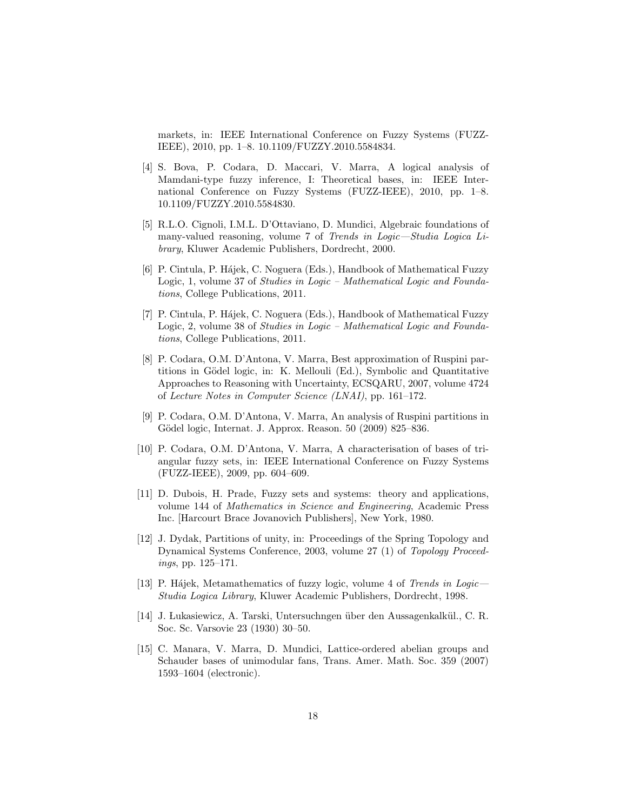markets, in: IEEE International Conference on Fuzzy Systems (FUZZ-IEEE), 2010, pp. 1–8. 10.1109/FUZZY.2010.5584834.

- [4] S. Bova, P. Codara, D. Maccari, V. Marra, A logical analysis of Mamdani-type fuzzy inference, I: Theoretical bases, in: IEEE International Conference on Fuzzy Systems (FUZZ-IEEE), 2010, pp. 1–8. 10.1109/FUZZY.2010.5584830.
- [5] R.L.O. Cignoli, I.M.L. D'Ottaviano, D. Mundici, Algebraic foundations of many-valued reasoning, volume 7 of Trends in Logic—Studia Logica Library, Kluwer Academic Publishers, Dordrecht, 2000.
- [6] P. Cintula, P. Hájek, C. Noguera (Eds.), Handbook of Mathematical Fuzzy Logic, 1, volume 37 of Studies in Logic – Mathematical Logic and Foundations, College Publications, 2011.
- [7] P. Cintula, P. Hájek, C. Noguera (Eds.), Handbook of Mathematical Fuzzy Logic, 2, volume 38 of Studies in Logic – Mathematical Logic and Foundations, College Publications, 2011.
- [8] P. Codara, O.M. D'Antona, V. Marra, Best approximation of Ruspini partitions in Gödel logic, in: K. Mellouli (Ed.), Symbolic and Quantitative Approaches to Reasoning with Uncertainty, ECSQARU, 2007, volume 4724 of Lecture Notes in Computer Science (LNAI), pp. 161–172.
- [9] P. Codara, O.M. D'Antona, V. Marra, An analysis of Ruspini partitions in Gödel logic, Internat. J. Approx. Reason. 50 (2009) 825–836.
- [10] P. Codara, O.M. D'Antona, V. Marra, A characterisation of bases of triangular fuzzy sets, in: IEEE International Conference on Fuzzy Systems (FUZZ-IEEE), 2009, pp. 604–609.
- [11] D. Dubois, H. Prade, Fuzzy sets and systems: theory and applications, volume 144 of Mathematics in Science and Engineering, Academic Press Inc. [Harcourt Brace Jovanovich Publishers], New York, 1980.
- [12] J. Dydak, Partitions of unity, in: Proceedings of the Spring Topology and Dynamical Systems Conference, 2003, volume 27 (1) of Topology Proceedings, pp. 125–171.
- [13] P. Hájek, Metamathematics of fuzzy logic, volume 4 of Trends in Logic— Studia Logica Library, Kluwer Academic Publishers, Dordrecht, 1998.
- [14] J. Lukasiewicz, A. Tarski, Untersuchngen über den Aussagenkalkül., C. R. Soc. Sc. Varsovie 23 (1930) 30–50.
- [15] C. Manara, V. Marra, D. Mundici, Lattice-ordered abelian groups and Schauder bases of unimodular fans, Trans. Amer. Math. Soc. 359 (2007) 1593–1604 (electronic).